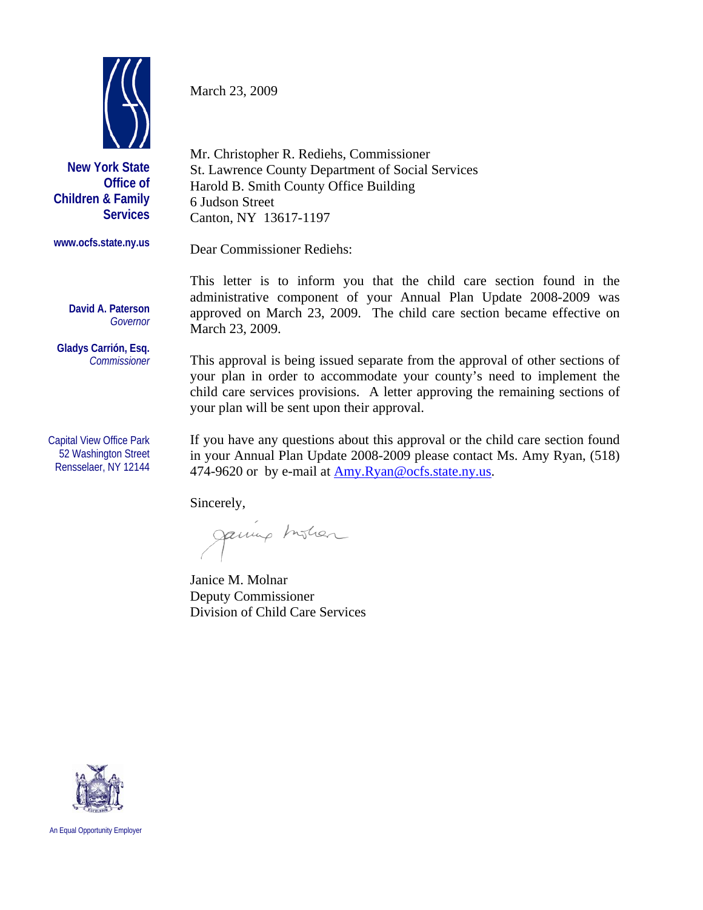

**New York State Office of Children & Family Services**

**www.ocfs.state.ny.us** 

**David A. Paterson** 

**Gladys Carrión, Esq.**   *Commissioner* 

Capital View Office Park 52 Washington Street Rensselaer, NY 12144

*Governor*

March 23, 2009

Mr. Christopher R. Rediehs, Commissioner St. Lawrence County Department of Social Services Harold B. Smith County Office Building 6 Judson Street Canton, NY 13617-1197

Dear Commissioner Rediehs:

This letter is to inform you that the child care section found in the administrative component of your Annual Plan Update 2008-2009 was approved on March 23, 2009. The child care section became effective on March 23, 2009.

This approval is being issued separate from the approval of other sections of your plan in order to accommodate your county's need to implement the child care services provisions. A letter approving the remaining sections of your plan will be sent upon their approval.

If you have any questions about this approval or the child care section found in your Annual Plan Update 2008-2009 please contact Ms. Amy Ryan, (518) 474-9620 or by e-mail at [Amy.Ryan@ocfs.state.ny.us.](mailto:Amy.Ryan@ocfs.state.ny.us)

Sincerely,

Janung Instian

Janice M. Molnar Deputy Commissioner Division of Child Care Services



An Equal Opportunity Employer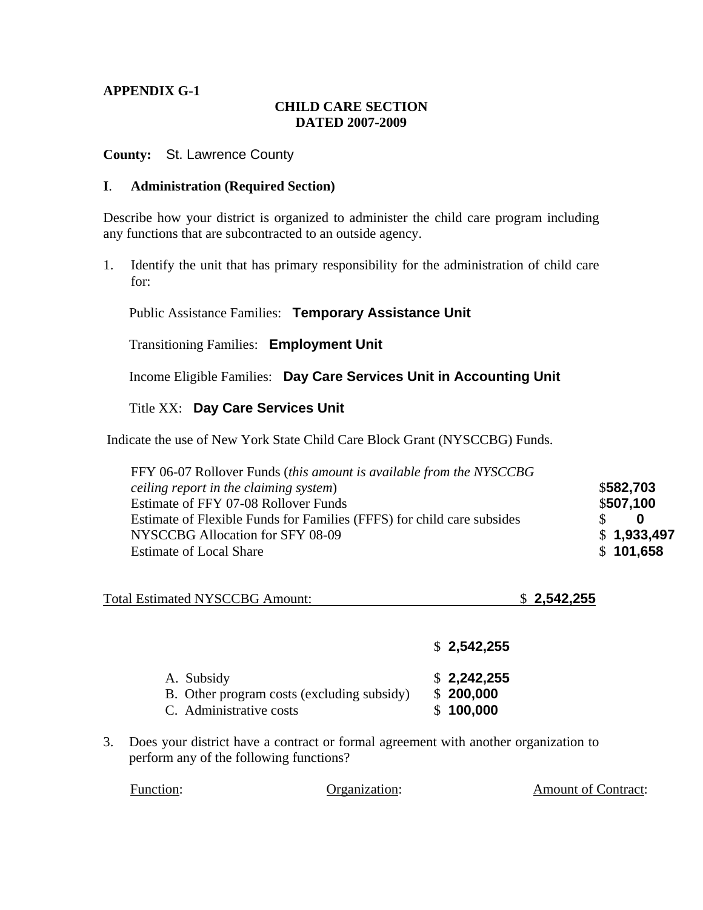# **CHILD CARE SECTION DATED 2007-2009**

#### **County:** St. Lawrence County

#### **I**. **Administration (Required Section)**

Describe how your district is organized to administer the child care program including any functions that are subcontracted to an outside agency.

1. Identify the unit that has primary responsibility for the administration of child care for:

Public Assistance Families: **Temporary Assistance Unit** 

Transitioning Families: **Employment Unit** 

Income Eligible Families: **Day Care Services Unit in Accounting Unit** 

## Title XX: **Day Care Services Unit**

Indicate the use of New York State Child Care Block Grant (NYSCCBG) Funds.

| FFY 06-07 Rollover Funds (this amount is available from the NYSCCBG    |             |
|------------------------------------------------------------------------|-------------|
| ceiling report in the claiming system)                                 | \$582,703   |
| Estimate of FFY 07-08 Rollover Funds                                   | \$507,100   |
| Estimate of Flexible Funds for Families (FFFS) for child care subsides | SS.<br>0    |
| NYSCCBG Allocation for SFY 08-09                                       | \$1,933,497 |
| <b>Estimate of Local Share</b>                                         | \$101,658   |
|                                                                        |             |

| <b>Total Estimated NYSCCBG Amount:</b> | \$2,542,255 |
|----------------------------------------|-------------|
|----------------------------------------|-------------|

|                                                                                     | \$2,542,255                           |
|-------------------------------------------------------------------------------------|---------------------------------------|
| A. Subsidy<br>B. Other program costs (excluding subsidy)<br>C. Administrative costs | \$2,242,255<br>\$200,000<br>\$100,000 |

3. Does your district have a contract or formal agreement with another organization to perform any of the following functions?

| <b>Function:</b> |               |                            |
|------------------|---------------|----------------------------|
|                  | Organization: | <b>Amount of Contract:</b> |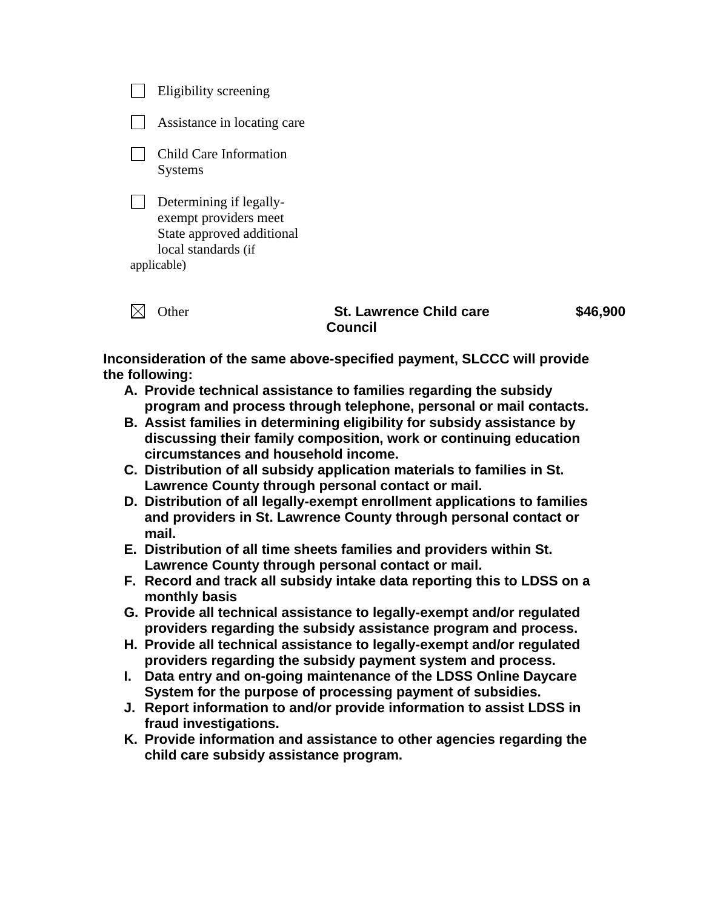| her                                                             | <b>St. Lawrence Child care</b> |
|-----------------------------------------------------------------|--------------------------------|
| State approved additional<br>local standards (if<br>applicable) |                                |
| Determining if legally-<br>exempt providers meet                |                                |
| Child Care Information<br><b>Systems</b>                        |                                |
| Assistance in locating care                                     |                                |
| Eligibility screening                                           |                                |

 **\$46,900** 

**Inconsideration of the same above-specified payment, SLCCC will provide the following:** 

**Council** 

- **A. Provide technical assistance to families regarding the subsidy program and process through telephone, personal or mail contacts.**
- **B. Assist families in determining eligibility for subsidy assistance by discussing their family composition, work or continuing education circumstances and household income.**
- **C. Distribution of all subsidy application materials to families in St. Lawrence County through personal contact or mail.**
- **D. Distribution of all legally-exempt enrollment applications to families and providers in St. Lawrence County through personal contact or mail.**
- **E. Distribution of all time sheets families and providers within St. Lawrence County through personal contact or mail.**
- **F. Record and track all subsidy intake data reporting this to LDSS on a monthly basis**
- **G. Provide all technical assistance to legally-exempt and/or regulated providers regarding the subsidy assistance program and process.**
- **H. Provide all technical assistance to legally-exempt and/or regulated providers regarding the subsidy payment system and process.**
- **I. Data entry and on-going maintenance of the LDSS Online Daycare System for the purpose of processing payment of subsidies.**
- **J. Report information to and/or provide information to assist LDSS in fraud investigations.**
- **K. Provide information and assistance to other agencies regarding the child care subsidy assistance program.**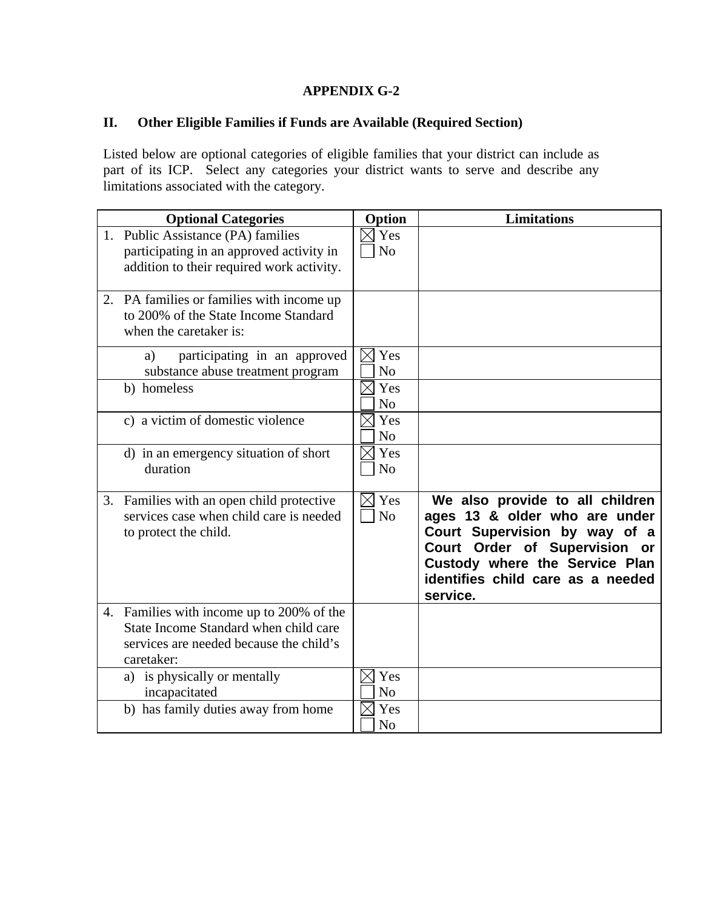# **II. Other Eligible Families if Funds are Available (Required Section)**

Listed below are optional categories of eligible families that your district can include as part of its ICP. Select any categories your district wants to serve and describe any limitations associated with the category.

| <b>Optional Categories</b>                                                                                                                  | Option                             | <b>Limitations</b>                                                                                                                                                                                                              |
|---------------------------------------------------------------------------------------------------------------------------------------------|------------------------------------|---------------------------------------------------------------------------------------------------------------------------------------------------------------------------------------------------------------------------------|
| 1. Public Assistance (PA) families<br>participating in an approved activity in<br>addition to their required work activity.                 | $\times$ Yes<br>N <sub>o</sub>     |                                                                                                                                                                                                                                 |
| 2. PA families or families with income up<br>to 200% of the State Income Standard<br>when the caretaker is:                                 |                                    |                                                                                                                                                                                                                                 |
| participating in an approved<br>a)<br>substance abuse treatment program                                                                     | Yes<br>$\bowtie$<br>N <sub>o</sub> |                                                                                                                                                                                                                                 |
| b) homeless                                                                                                                                 | Yes<br>N <sub>o</sub>              |                                                                                                                                                                                                                                 |
| c) a victim of domestic violence                                                                                                            | Yes<br>N <sub>o</sub>              |                                                                                                                                                                                                                                 |
| d) in an emergency situation of short<br>duration                                                                                           | $\times$ Yes<br>N <sub>o</sub>     |                                                                                                                                                                                                                                 |
| 3. Families with an open child protective<br>services case when child care is needed<br>to protect the child.                               | $\boxtimes$ Yes<br>N <sub>o</sub>  | We also provide to all children<br>ages 13 & older who are under<br>Court Supervision by way of a<br><b>Court Order of Supervision</b><br>or<br>Custody where the Service Plan<br>identifies child care as a needed<br>service. |
| 4. Families with income up to 200% of the<br>State Income Standard when child care<br>services are needed because the child's<br>caretaker: |                                    |                                                                                                                                                                                                                                 |
| a) is physically or mentally<br>incapacitated                                                                                               | $\times$ Yes<br>N <sub>o</sub>     |                                                                                                                                                                                                                                 |
| b) has family duties away from home                                                                                                         | Yes<br>N <sub>o</sub>              |                                                                                                                                                                                                                                 |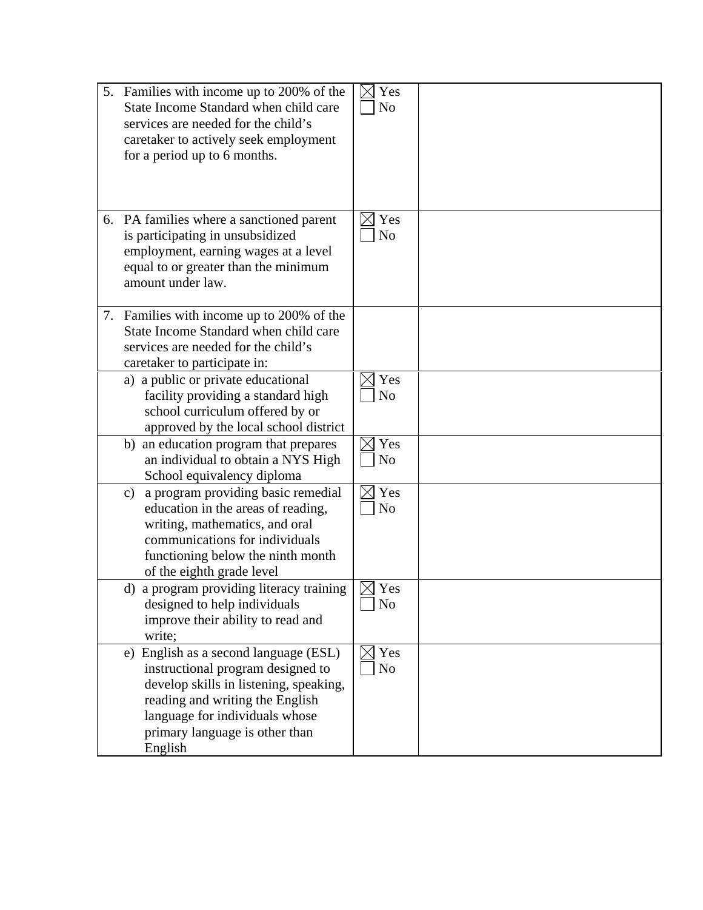|               | 5. Families with income up to 200% of the<br>State Income Standard when child care<br>services are needed for the child's<br>caretaker to actively seek employment<br>for a period up to 6 months.                                     | Yes<br>N <sub>o</sub> |  |
|---------------|----------------------------------------------------------------------------------------------------------------------------------------------------------------------------------------------------------------------------------------|-----------------------|--|
|               | 6. PA families where a sanctioned parent<br>is participating in unsubsidized<br>employment, earning wages at a level<br>equal to or greater than the minimum<br>amount under law.                                                      | Yes<br>N <sub>o</sub> |  |
|               | 7. Families with income up to 200% of the<br>State Income Standard when child care<br>services are needed for the child's<br>caretaker to participate in:                                                                              |                       |  |
|               | a) a public or private educational<br>facility providing a standard high<br>school curriculum offered by or<br>approved by the local school district                                                                                   | Yes<br>N <sub>o</sub> |  |
|               | b) an education program that prepares<br>an individual to obtain a NYS High<br>School equivalency diploma                                                                                                                              | Yes<br>N <sub>o</sub> |  |
| $\mathbf{c})$ | a program providing basic remedial<br>education in the areas of reading,<br>writing, mathematics, and oral<br>communications for individuals<br>functioning below the ninth month<br>of the eighth grade level                         | Yes<br>N <sub>o</sub> |  |
|               | d) a program providing literacy training<br>designed to help individuals<br>improve their ability to read and<br>write;                                                                                                                | Yes<br>N <sub>o</sub> |  |
|               | e) English as a second language (ESL)<br>instructional program designed to<br>develop skills in listening, speaking,<br>reading and writing the English<br>language for individuals whose<br>primary language is other than<br>English | Yes<br>N <sub>0</sub> |  |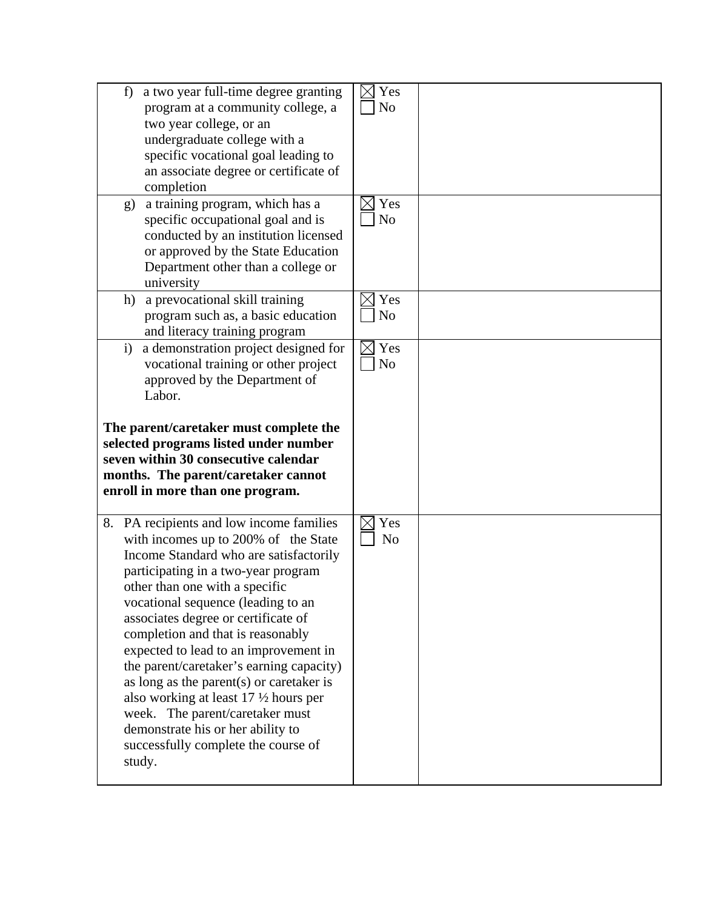|              | a two year full-time degree granting<br>f<br>program at a community college, a                                                                                                       | $\bowtie$<br>Yes<br>N <sub>o</sub> |  |
|--------------|--------------------------------------------------------------------------------------------------------------------------------------------------------------------------------------|------------------------------------|--|
|              | two year college, or an<br>undergraduate college with a                                                                                                                              |                                    |  |
|              | specific vocational goal leading to                                                                                                                                                  |                                    |  |
|              | an associate degree or certificate of<br>completion                                                                                                                                  |                                    |  |
|              | a training program, which has a<br>g)<br>specific occupational goal and is<br>conducted by an institution licensed                                                                   | Yes<br>$\times$<br>N <sub>o</sub>  |  |
|              | or approved by the State Education<br>Department other than a college or<br>university                                                                                               |                                    |  |
|              | h) a prevocational skill training<br>program such as, a basic education<br>and literacy training program                                                                             | Yes<br>$\times$<br>N <sub>o</sub>  |  |
| $\mathbf{i}$ | a demonstration project designed for<br>vocational training or other project<br>approved by the Department of                                                                        | Yes<br>$\times$<br>No              |  |
|              | Labor.<br>The parent/caretaker must complete the                                                                                                                                     |                                    |  |
|              | selected programs listed under number<br>seven within 30 consecutive calendar<br>months. The parent/caretaker cannot<br>enroll in more than one program.                             |                                    |  |
|              | 8. PA recipients and low income families<br>with incomes up to 200% of the State<br>Income Standard who are satisfactorily<br>participating in a two-year program                    | Yes<br>$\times$<br>N <sub>o</sub>  |  |
|              | other than one with a specific<br>vocational sequence (leading to an<br>associates degree or certificate of<br>completion and that is reasonably                                     |                                    |  |
|              | expected to lead to an improvement in<br>the parent/caretaker's earning capacity)<br>as long as the parent $(s)$ or caretaker is<br>also working at least $17 \frac{1}{2}$ hours per |                                    |  |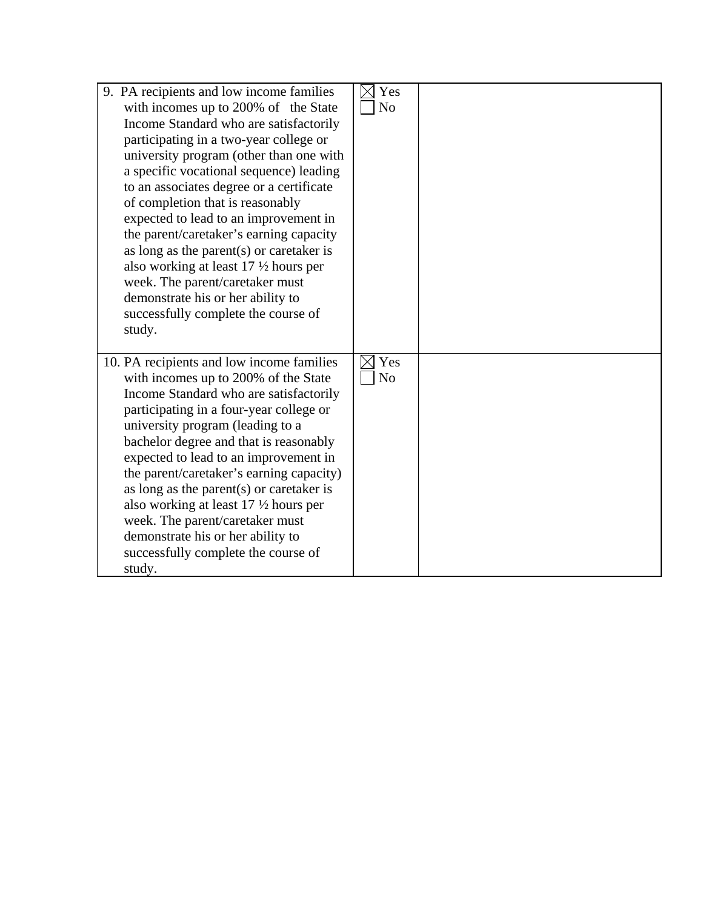| 9. PA recipients and low income families<br>with incomes up to 200% of the State<br>Income Standard who are satisfactorily<br>participating in a two-year college or<br>university program (other than one with<br>a specific vocational sequence) leading<br>to an associates degree or a certificate<br>of completion that is reasonably<br>expected to lead to an improvement in<br>the parent/caretaker's earning capacity<br>as long as the parent $(s)$ or caretaker is<br>also working at least $17 \frac{1}{2}$ hours per<br>week. The parent/caretaker must<br>demonstrate his or her ability to<br>successfully complete the course of<br>study. | Yes<br>N <sub>o</sub> |  |
|------------------------------------------------------------------------------------------------------------------------------------------------------------------------------------------------------------------------------------------------------------------------------------------------------------------------------------------------------------------------------------------------------------------------------------------------------------------------------------------------------------------------------------------------------------------------------------------------------------------------------------------------------------|-----------------------|--|
| 10. PA recipients and low income families<br>with incomes up to 200% of the State<br>Income Standard who are satisfactorily<br>participating in a four-year college or<br>university program (leading to a<br>bachelor degree and that is reasonably<br>expected to lead to an improvement in<br>the parent/caretaker's earning capacity)<br>as long as the parent(s) or caretaker is<br>also working at least $17 \frac{1}{2}$ hours per<br>week. The parent/caretaker must<br>demonstrate his or her ability to<br>successfully complete the course of<br>study.                                                                                         | Yes<br>N <sub>o</sub> |  |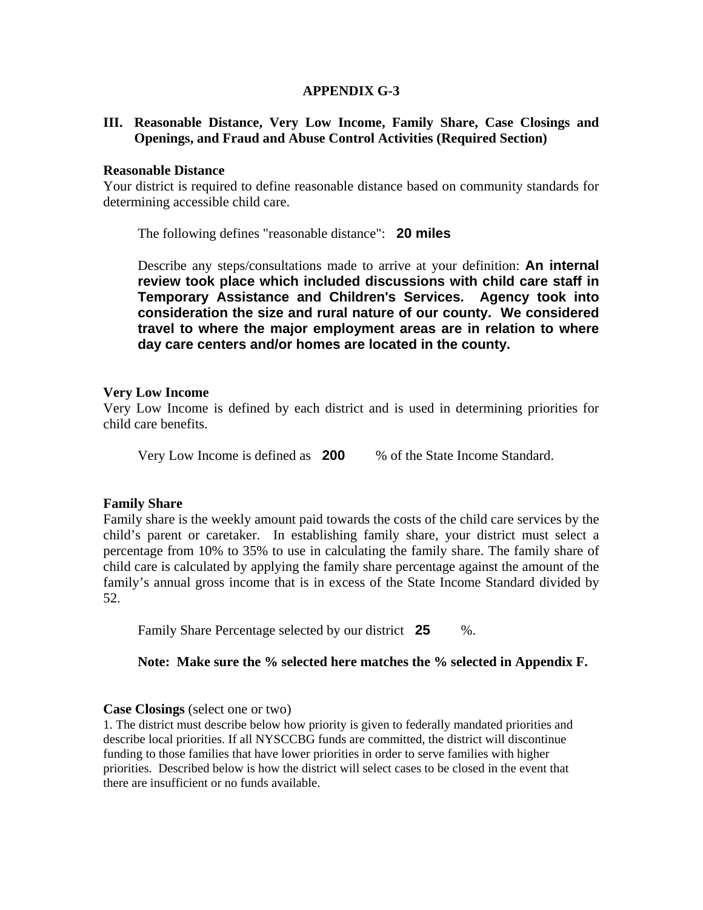## **III. Reasonable Distance, Very Low Income, Family Share, Case Closings and Openings, and Fraud and Abuse Control Activities (Required Section)**

#### **Reasonable Distance**

Your district is required to define reasonable distance based on community standards for determining accessible child care.

The following defines "reasonable distance": **20 miles** 

 Describe any steps/consultations made to arrive at your definition: **An internal review took place which included discussions with child care staff in Temporary Assistance and Children's Services. Agency took into consideration the size and rural nature of our county. We considered travel to where the major employment areas are in relation to where day care centers and/or homes are located in the county.**

## **Very Low Income**

Very Low Income is defined by each district and is used in determining priorities for child care benefits.

Very Low Income is defined as **200** % of the State Income Standard.

## **Family Share**

Family share is the weekly amount paid towards the costs of the child care services by the child's parent or caretaker. In establishing family share, your district must select a percentage from 10% to 35% to use in calculating the family share. The family share of child care is calculated by applying the family share percentage against the amount of the family's annual gross income that is in excess of the State Income Standard divided by 52.

Family Share Percentage selected by our district **25** %.

## **Note: Make sure the % selected here matches the % selected in Appendix F.**

#### **Case Closings** (select one or two)

1. The district must describe below how priority is given to federally mandated priorities and describe local priorities. If all NYSCCBG funds are committed, the district will discontinue funding to those families that have lower priorities in order to serve families with higher priorities. Described below is how the district will select cases to be closed in the event that there are insufficient or no funds available.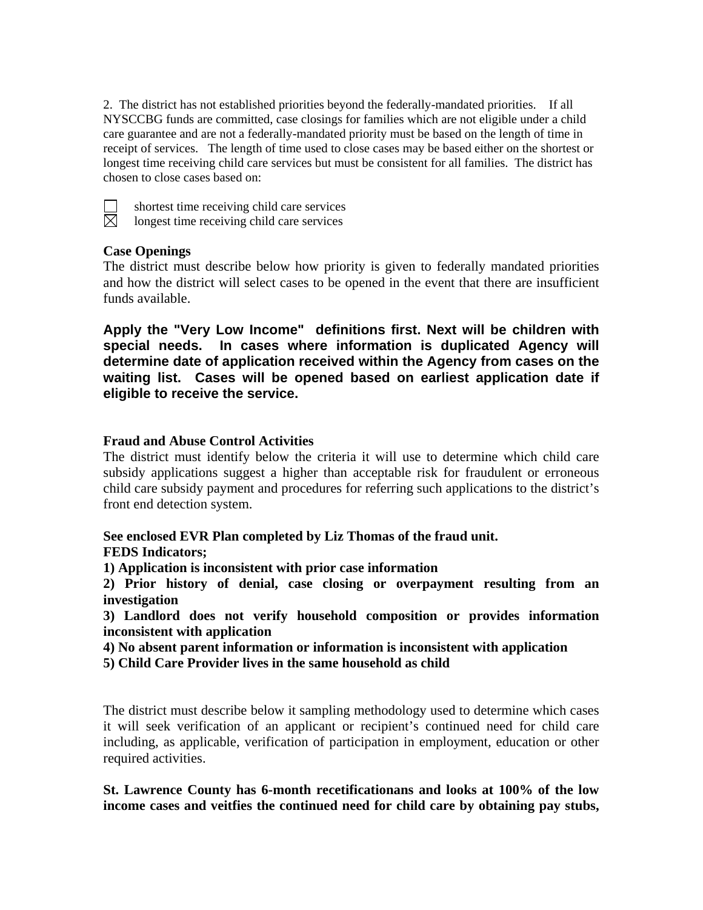2. The district has not established priorities beyond the federally-mandated priorities. If all NYSCCBG funds are committed, case closings for families which are not eligible under a child care guarantee and are not a federally-mandated priority must be based on the length of time in receipt of services. The length of time used to close cases may be based either on the shortest or longest time receiving child care services but must be consistent for all families. The district has chosen to close cases based on:



 $\Box$  shortest time receiving child care services<br> $\boxtimes$  longest time receiving child care services

longest time receiving child care services

## **Case Openings**

The district must describe below how priority is given to federally mandated priorities and how the district will select cases to be opened in the event that there are insufficient funds available.

**Apply the "Very Low Income" definitions first. Next will be children with special needs. In cases where information is duplicated Agency will determine date of application received within the Agency from cases on the waiting list. Cases will be opened based on earliest application date if eligible to receive the service.** 

## **Fraud and Abuse Control Activities**

The district must identify below the criteria it will use to determine which child care subsidy applications suggest a higher than acceptable risk for fraudulent or erroneous child care subsidy payment and procedures for referring such applications to the district's front end detection system.

**See enclosed EVR Plan completed by Liz Thomas of the fraud unit. FEDS Indicators;** 

**1) Application is inconsistent with prior case information** 

**2) Prior history of denial, case closing or overpayment resulting from an investigation** 

**3) Landlord does not verify household composition or provides information inconsistent with application** 

**4) No absent parent information or information is inconsistent with application** 

**5) Child Care Provider lives in the same household as child** 

The district must describe below it sampling methodology used to determine which cases it will seek verification of an applicant or recipient's continued need for child care including, as applicable, verification of participation in employment, education or other required activities.

**St. Lawrence County has 6-month recetificationans and looks at 100% of the low income cases and veitfies the continued need for child care by obtaining pay stubs,**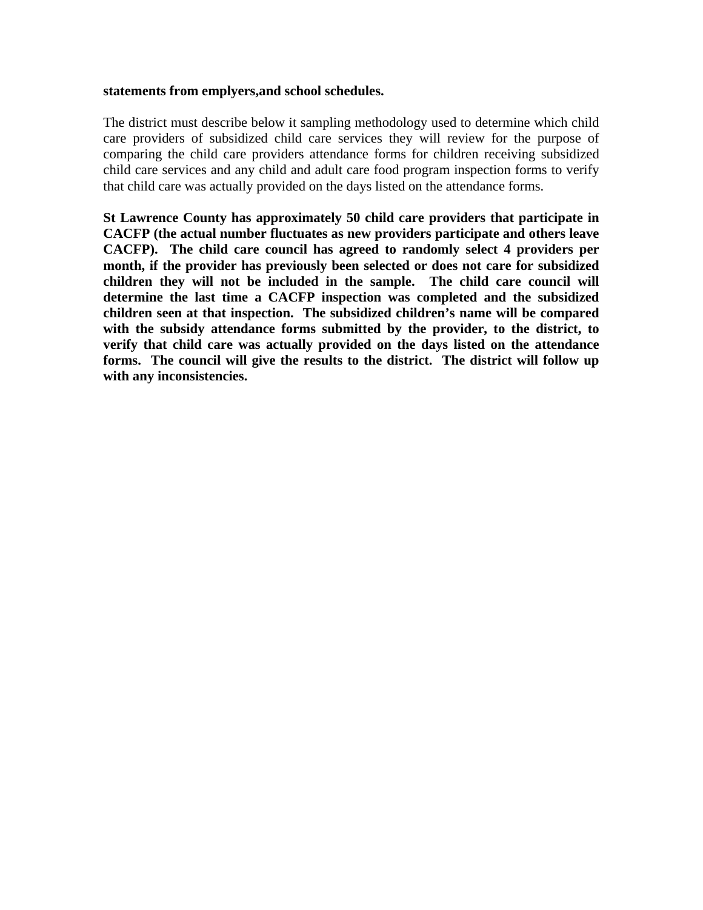#### **statements from emplyers,and school schedules.**

The district must describe below it sampling methodology used to determine which child care providers of subsidized child care services they will review for the purpose of comparing the child care providers attendance forms for children receiving subsidized child care services and any child and adult care food program inspection forms to verify that child care was actually provided on the days listed on the attendance forms.

**St Lawrence County has approximately 50 child care providers that participate in CACFP (the actual number fluctuates as new providers participate and others leave CACFP). The child care council has agreed to randomly select 4 providers per month, if the provider has previously been selected or does not care for subsidized children they will not be included in the sample. The child care council will determine the last time a CACFP inspection was completed and the subsidized children seen at that inspection. The subsidized children's name will be compared with the subsidy attendance forms submitted by the provider, to the district, to verify that child care was actually provided on the days listed on the attendance forms. The council will give the results to the district. The district will follow up with any inconsistencies.**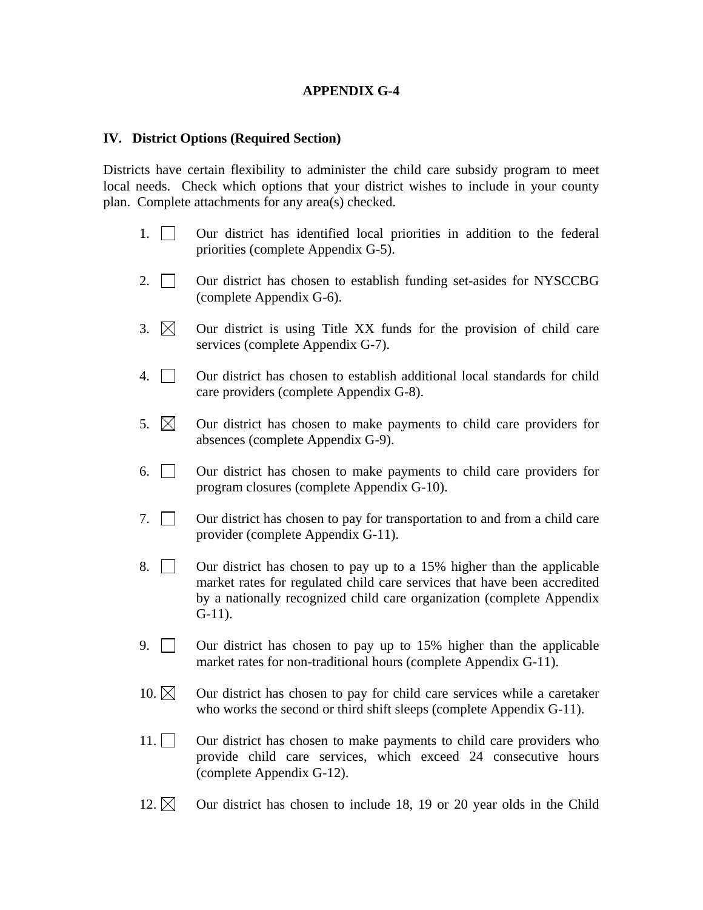#### **IV. District Options (Required Section)**

Districts have certain flexibility to administer the child care subsidy program to meet local needs. Check which options that your district wishes to include in your county plan. Complete attachments for any area(s) checked.

- 1. Our district has identified local priorities in addition to the federal priorities (complete Appendix G-5).
- 2.  $\vert$  Our district has chosen to establish funding set-asides for NYSCCBG (complete Appendix G-6).
- 3.  $\boxtimes$  Our district is using Title XX funds for the provision of child care services (complete Appendix G-7).
- 4. Our district has chosen to establish additional local standards for child care providers (complete Appendix G-8).
- 5.  $\boxtimes$  Our district has chosen to make payments to child care providers for absences (complete Appendix G-9).
- 6. Our district has chosen to make payments to child care providers for program closures (complete Appendix G-10).
- 7. Our district has chosen to pay for transportation to and from a child care provider (complete Appendix G-11).
- 8.  $\Box$  Our district has chosen to pay up to a 15% higher than the applicable market rates for regulated child care services that have been accredited by a nationally recognized child care organization (complete Appendix G-11).
- 9. Our district has chosen to pay up to 15% higher than the applicable market rates for non-traditional hours (complete Appendix G-11).
- 10.  $\boxtimes$  Our district has chosen to pay for child care services while a caretaker who works the second or third shift sleeps (complete Appendix G-11).
- 11.  $\Box$  Our district has chosen to make payments to child care providers who provide child care services, which exceed 24 consecutive hours (complete Appendix G-12).
- 12.  $\boxtimes$  Our district has chosen to include 18, 19 or 20 year olds in the Child